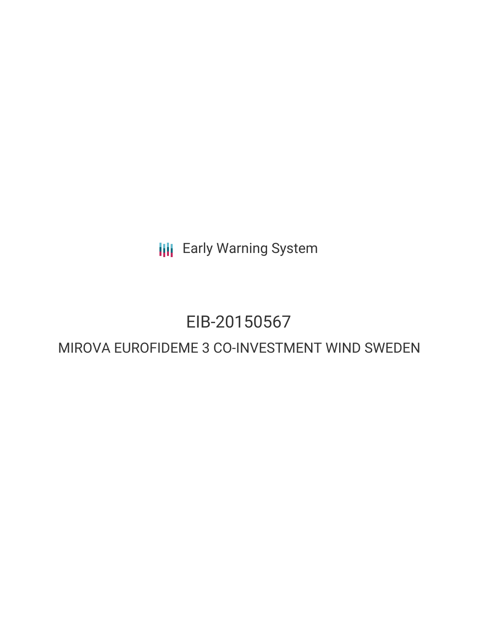**III** Early Warning System

# EIB-20150567

# MIROVA EUROFIDEME 3 CO-INVESTMENT WIND SWEDEN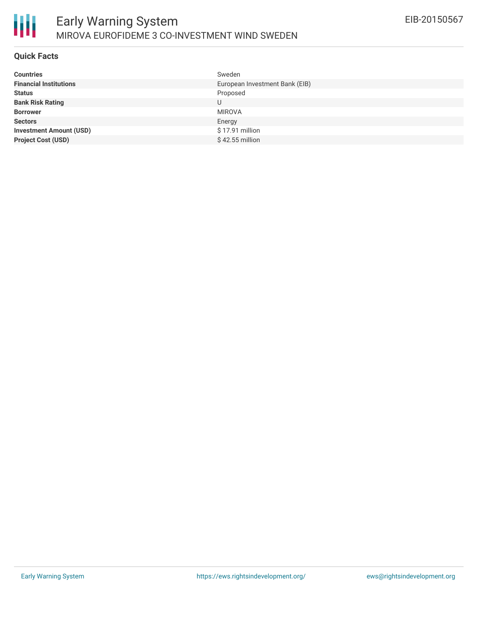

#### **Quick Facts**

| Sweden                         |
|--------------------------------|
| European Investment Bank (EIB) |
| Proposed                       |
| U                              |
| <b>MIROVA</b>                  |
| Energy                         |
| \$17.91 million                |
| \$42.55 million                |
|                                |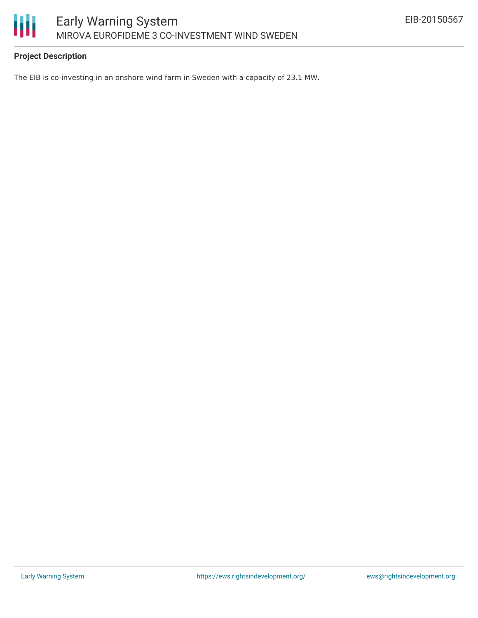

# **Project Description**

The EIB is co-investing in an onshore wind farm in Sweden with a capacity of 23.1 MW.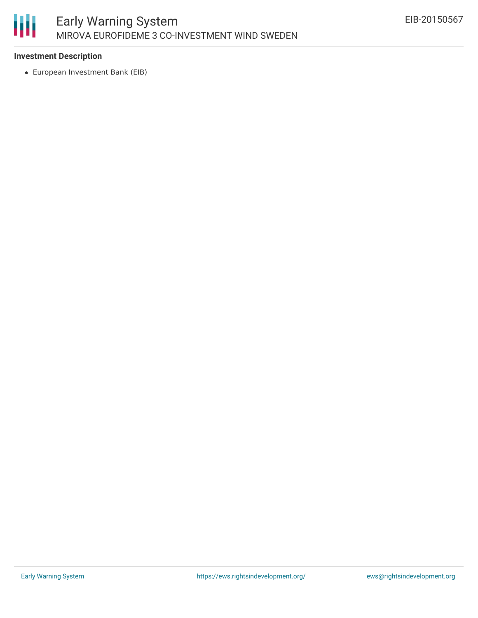

### **Investment Description**

European Investment Bank (EIB)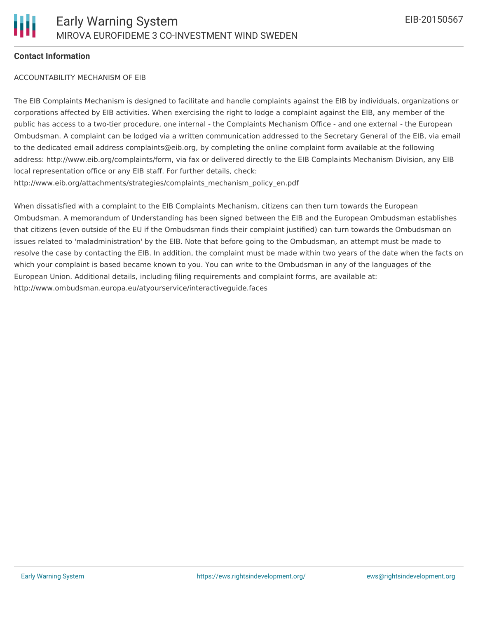# **Contact Information**

#### ACCOUNTABILITY MECHANISM OF EIB

The EIB Complaints Mechanism is designed to facilitate and handle complaints against the EIB by individuals, organizations or corporations affected by EIB activities. When exercising the right to lodge a complaint against the EIB, any member of the public has access to a two-tier procedure, one internal - the Complaints Mechanism Office - and one external - the European Ombudsman. A complaint can be lodged via a written communication addressed to the Secretary General of the EIB, via email to the dedicated email address complaints@eib.org, by completing the online complaint form available at the following address: http://www.eib.org/complaints/form, via fax or delivered directly to the EIB Complaints Mechanism Division, any EIB local representation office or any EIB staff. For further details, check: http://www.eib.org/attachments/strategies/complaints\_mechanism\_policy\_en.pdf

When dissatisfied with a complaint to the EIB Complaints Mechanism, citizens can then turn towards the European Ombudsman. A memorandum of Understanding has been signed between the EIB and the European Ombudsman establishes that citizens (even outside of the EU if the Ombudsman finds their complaint justified) can turn towards the Ombudsman on issues related to 'maladministration' by the EIB. Note that before going to the Ombudsman, an attempt must be made to resolve the case by contacting the EIB. In addition, the complaint must be made within two years of the date when the facts on which your complaint is based became known to you. You can write to the Ombudsman in any of the languages of the European Union. Additional details, including filing requirements and complaint forms, are available at: http://www.ombudsman.europa.eu/atyourservice/interactiveguide.faces